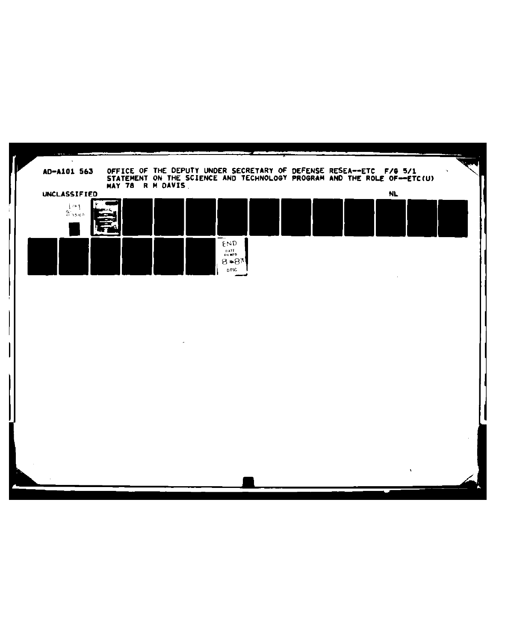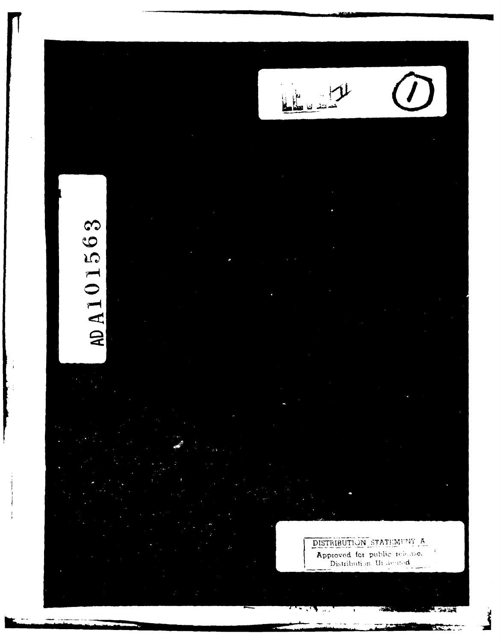# A101563

।<br>‱⊌∸

DISTRIBUTION STATEMENT Approved for public rela

 $\ddot{\phantom{a}}$ 

كالمتلألة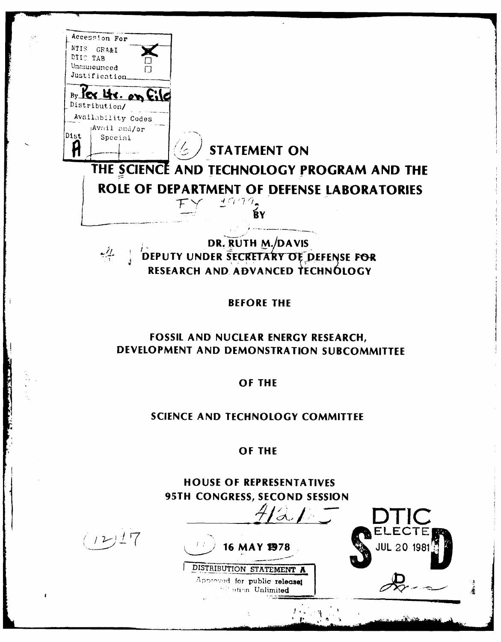Accession For **'NTIS** GPA&I DTIC TAB<br>Unannounced Just if *i* cation  $By$  lex  $U$ s. on Ei Distribution/ Availability Codes Avail and/or  $\mathsf{Dist}$  $\begin{array}{c} \text{Special} \\ \hline \end{array}$   $\begin{array}{c} \begin{array}{c} \end{array}$  **STATEMENT ON** Ĥ THE **SCIENCI AND TECHNOLOGY** PROGRAM **AND** THE **ROLE OF DEPARTMENT OF DEFENSE LABORATORIES**  $2999$ Ŕ٧ DR. **RUTH M. /DAVIS** يلابيه **DEPUTY UNDER SECRETARY OF DEFENSE FOR** RESEARCH **AND, ADVANCED tECHNOLOGY** BEFORE THE **FOSSIL AND NUCLEAR ENERGY** RESEARCH, **DEVELOPMENT AND DEMONSTRATION SUBCOMMITTEE** OF THE **SCIENCE AND TECHNOLOGY** COMMITTEE OF THE **HOUSE** OF REPRESENTATIVES **95TH CONGRESS, SECOND SESSION**  $\sim$ ELECTE  $(12)17$ **16 MAY 19978 WA** JUL 20 1981 DISTRIBUTION STATEMENT A Appreved for public releasel lightion Unlimited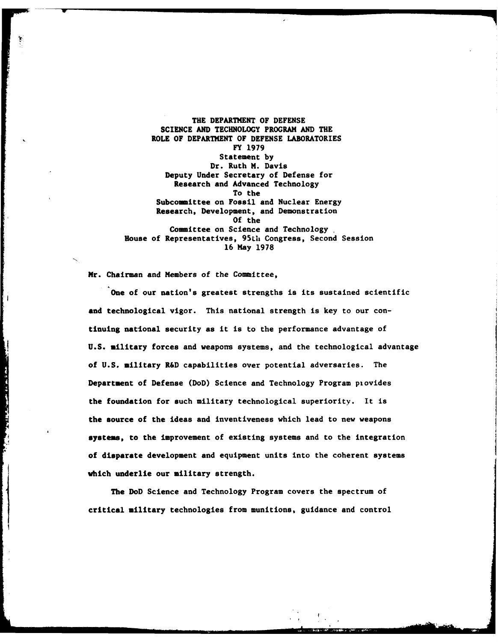THE DEPARTMENT OF **DEFENSE SCIENCE AND TECHNOLOGY** PROGRAM **AND** THE ROLE OF DEPARTMENT OF **DEFENSE** LABORATORIES FY **1979** Statement **by** Dr. Ruth M. Davis Deputy Under Secretary of Defense for Research and Advanced Technology To the Subcommittee on Fossil and Nuclear Energy Research, Development, and Demonstration **Of** the Committee on Science and Technology House of Representatives, **95LU** Congress, Second Session **16** May **1978**

Mr. Chairman and Members of the Committee,

**Charles Comment des Schleiben** 

One of our nation's greatest strengths is its sustained scientific **and** technological vigor. This national strength is key to our continuing national security as it is to the performance advantage of **U.S.** military forces and weapons systems, and the technological advantage of **U.S.** military R&D capabilities over potential adversaries. The Department of Defense (DoD) Science and Technology Program piovides the foundation for such military technological superiority. It is the source of the ideas and inventiveness which lead to new weapons systems, to the improvement of existing systems and to the integration of disparate development and equipment units into the coherent systems which underlie our military strength.

The DoD Science and Technology Program covers the spectrum of critical military technologies from munitions, guidance and control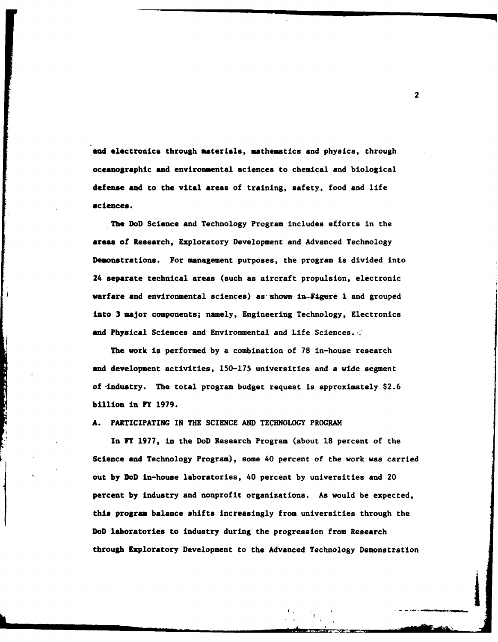and electronics through materials, mathematics and physics, through oceanographic **and** environmental sciences to chemical and biological defense and to the vital areas of training, safety, food and life sciences.

The DoD Science and Technology Program includes efforts in the **areas** of Research, Exploratory Development and Advanced Technology Demonstrations. For management purposes, the program is divided into 24 separate technical areas (such as aircraft propulsion, electronic varfare and environmental sciences) as-shown in-fgure **I** and grouped into **3** major components; namely, Engineering Technology, Electronics and Physical Sciences and Environmental and Life Sciences. $<$ 

The work is performed **by** a combination of **78** in-house research and development activities, **150-175** universities and a wide segment of -industry. The total program budget request is approximately **\$2.6** billion in FY **1979.**

### **A.** PARTICIPATING IN **THE SCIENCE AND TECHNOLOGY** PROGRAM

大学 あいまん あいまい あいま

In FY **1977,** in the DoD Research Program (about **18** percent of the Science and Technology Program), some 40 percent of the work was carried out **by** DoD in-house laboratories, 40 percent **by** universities and 20 percent by industry and nonprofit organizations. As would be expected, this program balance shifts increasingly from universities through the this program balance shifts increasingly from universities through the DoD laboratories to industry during the progression from Research through Exploratory Development to the Advanced Technology Demonstration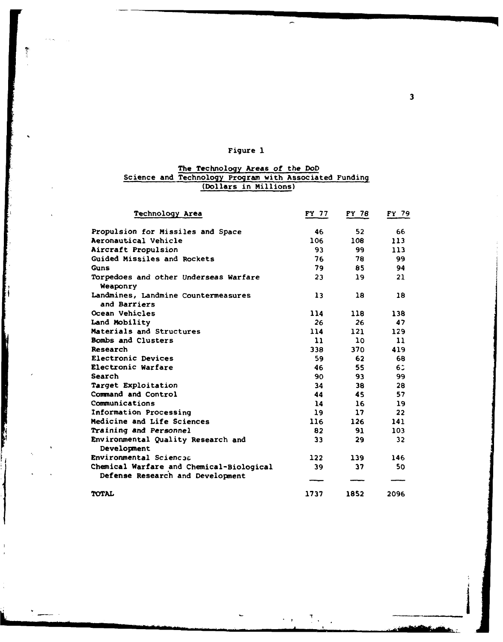# Figure **1**

 $\overline{ }$ 

# The Technology Areas of the DoD Science and Technology Program with Associated Funding (Dollars in Millions)

|    | Technology Area                                                              | FY 77         | FY 78 | FY 79             |
|----|------------------------------------------------------------------------------|---------------|-------|-------------------|
|    | Propulsion for Missiles and Space                                            | 46            | 52    | 66                |
|    | Aeronautical Vehicle                                                         | 106           | 108   | 113               |
|    | Aircraft Propulsion                                                          | 93            | 99    | 113               |
|    | Guided Missiles and Rockets                                                  | 76            | 78    | 99                |
|    | Guns                                                                         | 79            | 85    | 94                |
|    | Torpedoes and other Underseas Warfare<br>Weaponry                            | 23            | 19    | 21                |
|    | Landmines, Landmine Countermeasures<br>and Barriers                          | 13            | 18    | 18                |
|    | Ocean Vehicles                                                               | 114           | 118   | 138               |
|    | Land Mobility                                                                | 26            | 26    | 47                |
|    | Materials and Structures                                                     | 114           | 121   | 129               |
|    | Bombs and Clusters                                                           | $\mathbf{11}$ | 10    | 11                |
|    | Research                                                                     | 338           | 370   | 419               |
|    | Electronic Devices                                                           | 59            | 62    | 68                |
|    | Electronic Warfare                                                           | 46            | 55    | 6.1               |
|    | Search                                                                       | 90            | 93    | 99                |
|    | Target Exploitation                                                          | 34            | 38    | 28                |
|    | Command and Control                                                          | 44            | 45    | 57                |
|    | Communications                                                               | 14            | 16    | 19                |
|    | Information Processing                                                       | 19            | 17    | $22 \overline{ }$ |
|    | Medicine and Life Sciences                                                   | 116           | 126   | 141               |
|    | Training and Personnel                                                       | 82            | 91    | 103               |
| ċ. | Environmental Quality Research and<br>Development                            | 33            | 29    | 32                |
| ۰. | Environmental Sciences                                                       | 122           | 139   | 146               |
|    | Chemical Warfare and Chemical-Biological<br>Defense Research and Development | 39            | 37    | 50                |
|    |                                                                              |               |       |                   |
|    | TOTAL                                                                        | 1737          | 1852  | 2096              |

 $\begin{aligned} \mathcal{L}_{\text{max}}(\mathbf{X}) = \mathcal{L}_{\text{max}}(\mathbf{X}) \end{aligned}$ 

H

The Company of the Company of

 $\mathbf{3}$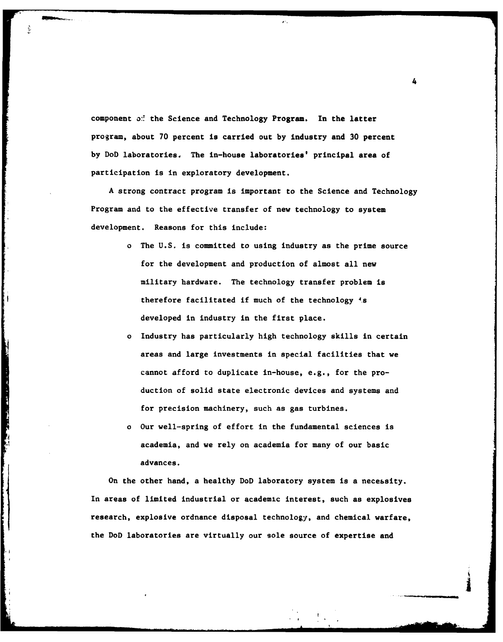component **o:** the Science and Technology Program. In the latter program, about **70** percent is carried out **by** industry and **30** percent **by** DoD laboratories. The in-house laboratories' principal area of participation is in exploratory development.

**A** strong contract program is important to the Science and Technology Program and to the effective transfer of new technology to system development. Reasons for this include:

- o The **U.S.** is committed to using industry as the prime source for the development and production of almost all new military hardware. The technology transfer problem is therefore facilitated if much of the technology is developed in industry in the first place.
- o Industry has particularly high technology skills in certain areas and large investments in special facilities that we cannot afford to duplicate in-house, e.g., for the production of solid state electronic devices and systems and for precision machinery, such as gas turbines.
- o Our well-spring of effort in the fundamental sciences is academia, and we rely on academia for many of our basic advances.

**CONTRACTOR** 

On the other hand, a healthy DoD laboratory system is a necebsity. In areas of limited industrial or academic interest, such as explosives research, explosive ordnance disposal technology, and chemical warfare, the DoD laboratories are virtually our sole source of expertise and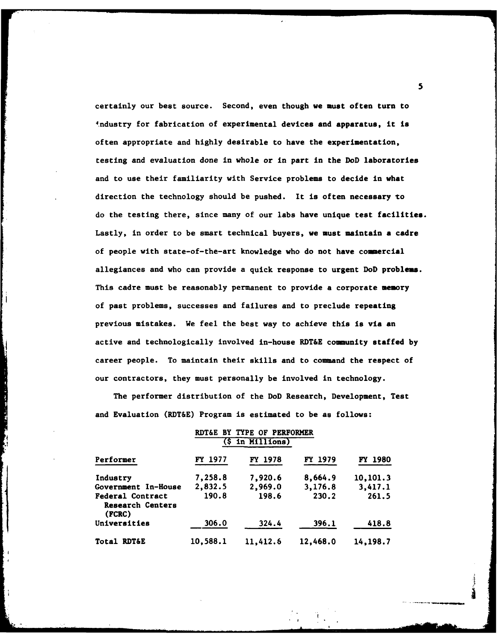certainly our best source. Second, even though we must often turn to 4ndustry for fabrication of experimental devices and apparatus, it is often appropriate and **highly** desirable to have the experimentation, testing and evaluation done in whole or in part in the DoD laboratories and to use their familiarity with Service problems to decide in what direction the technology should be pushed. It is often necessary to do the testing there, since many of our labs have unique test facilities. Lastly, in order to be smart technical buyers, we must maintain a cadre of people with state-of-the-art knowledge who do not have commercial allegiances and who can provide a quick response to urgent DoD problems. This cadre must be reasonably permanent to provide a corporate memory of past problems, successes and failures and to preclude repeating previous mistakes. We feel the best way to achieve this is via an active and technologically involved in-house RDT&E community staffed **by** career people. To maintain their skills and to command the respect of our contractors, they must personally be involved in technology.

The performer distribution of the DoD Research, Development, Test and Evaluation (RDT&E) Program is estimated to be as follows:

|                                                       |          | RDT&E BY TYPE OF PERFORMER |                |                |
|-------------------------------------------------------|----------|----------------------------|----------------|----------------|
|                                                       |          | $($ \$ in Millions $)$     |                |                |
| Performer                                             | FY 1977  | FY 1978                    | <b>FY 1979</b> | <b>FY 1980</b> |
| Industry                                              | 7,258.8  | 7,920.6                    | 8,664.9        | 10,101.3       |
| Government In-House                                   | 2,832.5  | 2,969.0                    | 3,176.8        | 3,417.1        |
| <b>Federal Contract</b><br>Research Centers<br>(FCRC) | 190.8    | 198.6                      | 230.2          | 261.5          |
| Universities                                          | 306.0    | 324.4                      | 396.1          | 418.8          |
| Total RDT&E                                           | 10,588.1 | 11,412.6                   | 12,468.0       | 14,198.7       |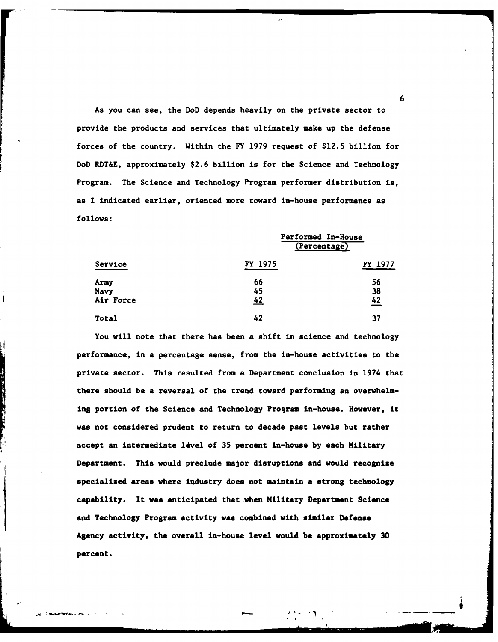As you can see, the DoD depends heavily on the private sector to provide the products and services that ultimately make up the defense forces of the country. Within the FY **1979** request of \$12.5 billion for DoD RDT&E, approximately **\$2.6** billion is for the Science and Technology Program. The Science and Technology Program performer distribution is, as I indicated earlier, oriented more toward in-house performance as **follows:**

|           | (Percentage) |         |  |
|-----------|--------------|---------|--|
| Service   | FY 1975      | FY 1977 |  |
| Army      | 66           | 56      |  |
| Navy      | 45           | 38      |  |
| Air Force | 42           | 42      |  |
| Total     | 42           | 37      |  |

Performed In-House

You will note that there has been a shift in science and technology performance, in **a** percentage sense, from the in-house activities to the private sector. This resulted from a Department conclusion in 1974 that there should be a reversal of the trend toward performing an overwhelming portion of the Science and Technology Program in-house. However, it was not considered prudent to return to decade past levels but rather accept an intermediate **l#vel** of **35** percent in-house **by** each Military Department. This would preclude major disruptions and would recognize specialized areas where iqdustry does not maintain a strong technology capability. It **was** anticipated that when Military Department **Science** and Technology Program activity was combined with similar Defense Agency activity, the overall in-house level would **be approximately 30 percent.**

**THE CONTINUES OF STREET** 

**6**

*L*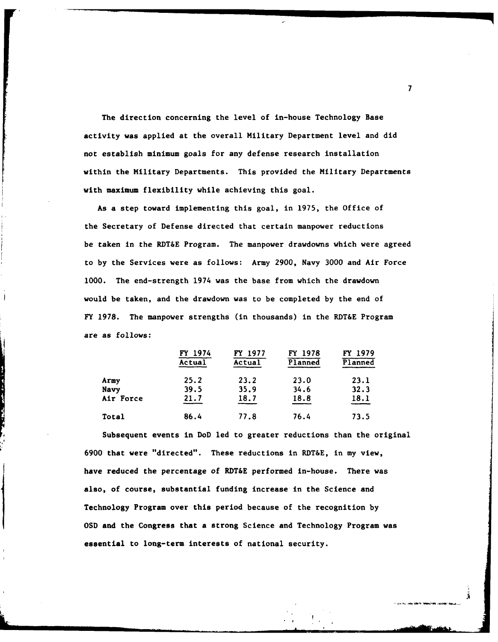The direction concerning the level of in-house Technology Base activity was applied at the overall Military Department level and did not establish minimum goals for any defense research installation within the Military Departments. This provided the Military Departments with maximum flexibility while achieving this goal.

As a step toward implementing this goal, in **1975,** the Office of the Secretary of Defense directed that certain manpower reductions be taken in the RDT&E Program. The manpower drawdowns which were agreed to **by** the Services were as follows: Army **2900,** Navy **3000** and Air Force **1000.** The end-strength 1974 was the base from which the drawdown would be taken, and the drawdown was to be completed by the end of FY 1978. The manpower strengths (in thousands) in the RDT&E Program are as follows:

|           | FY 1974<br>$\overline{\text{Actual}}$ | FY 1977<br>Actual | FY 1978<br>Planned | FY 1979<br>Planned |
|-----------|---------------------------------------|-------------------|--------------------|--------------------|
| Army      | 25.2                                  | 23.2              | 23.0               | 23.1               |
| Navy      | 39.5                                  | 35.9              | 34.6               | 32.3               |
| Air Force | 21.7                                  | 18.7              | 18.8               | 18.1               |
| Total     | 86.4                                  | 77.8              | 76.4               | 73.5               |

Subsequent events in DoD led to greater reductions than the original **6900** that were "directed". These reductions in RDT&E, in my view, have reduced the percentage of RDT&E performed in-house. There was also, of course, substantial funding increase in the Science and Technology Program over this period because of the recognition **by OSD** and the Congress that a strong Science and Technology Program was essential to long-term interests of national security.

**7**

**!.**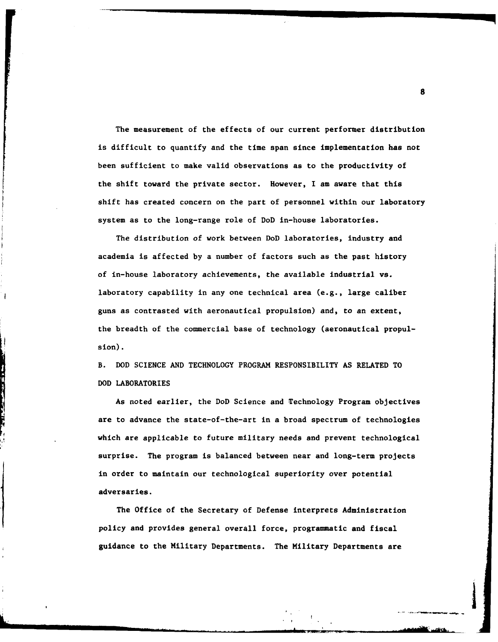The measurement of the effects of our current performer distribution is difficult to quantify and the time span since implementation has not been sufficient to make valid observations as to the productivity of the shift toward the private sector. However, I am aware that this shift has created concern on the part of personnel within our laboratory system as to the long-range role of DoD in-house laboratories.

The distribution of work between DoD laboratories, industry and academia is affected **by** a number of factors such as the past history of in-house laboratory achievements, the available industrial vs. laboratory capability in any one technical area (e.g., large caliber guns as contrasted with aeronautical propulsion) and, to an extent, the breadth of the commercial base of technology (aeronautical propulsion).

B. **DOD SCIENCE AND TECHNOLOGY** PROGRAM RESPONSIBILITY **AS** RELATED TO **DOD** LABORATORIES

As noted earlier, the DoD Science and Technology Program objectives are to advance the state-of-the-art in a broad spectrum of technologies which are applicable to future military needs and prevent technological surprise. The program is balanced between near and long-term projects in order to maintain our technological superiority over potential adversaries.

The Office of the Secretary of Defense interprets Administration policy and provides general overall force, programmatic and fiscal guidance to the Military Departments. The Military Departments are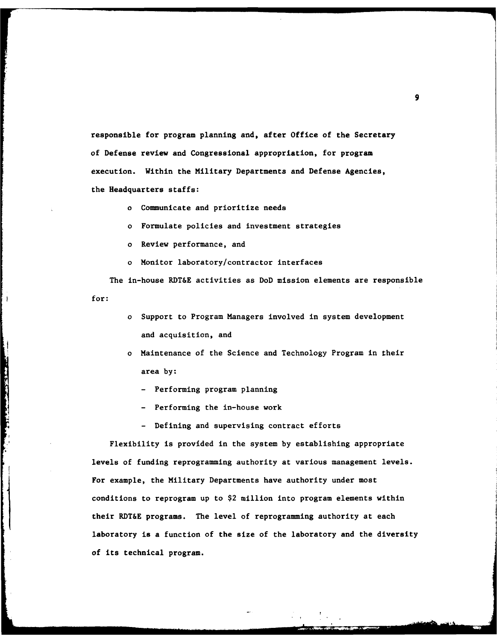responsible for program planning and, after Office of the Secretary of Defense review and Congressional appropriation, for program execution. Within the Military Departments and Defense Agencies, the Headquarters staffs:

- o Communicate and prioritize needs
- o Formulate policies and investment strategies
- o Review performance, and

o Monitor laboratory/contractor interfaces

The in-house RDT&E activities as DoD mission elements are responsible for:

- o Support to Program Managers involved in system development and acquisition, and
- o Maintenance of the Science and Technology Program in their area **by:**
	- **-** Performing program planning
	- **-** Performing the in-house work

**-** Defining and supervising contract efforts

Flexibility is provided in the system **by** establishing appropriate levels of funding reprogramming authority at various management levels. For example, the Military Departments have authority under most conditions to reprogram up to \$2 million into program elements within their RDT&E programs. The level of reprogramming authority at each laboratory is a function of the size of the laboratory and the diversity of its technical program.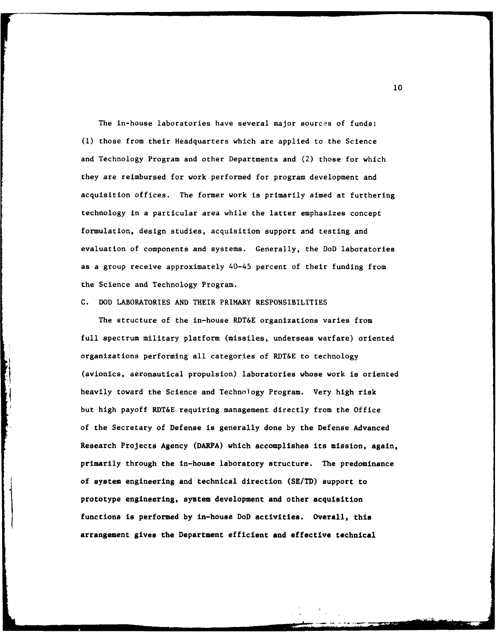The in-house laboratories have several major sources of funds: **(1)** those from their Headquarters which are applied to the Science and Technology Program and other Departments and (2) those for which they are reimbursed for work performed for program development and acquisition offices. The former work is primarily aimed at furthering technology in a particular area while the latter emphasizes concept formulation, design studies, acquisition support and testing and evaluation of components and systems. Generally, the DoD laboratories as a group receive approximately 40-45 percent of their funding from the Science and Technology Program.

### C. DOD LABORATORIES AND THEIR PRIMARY RESPONSIBILITIES

and the property of the company of the company of the company of the company of

The structure of the in-house RDT&E organizations varies from full spectrum military platform (missiles, underseas warfare) oriented organizations performing all categories of RDT&E to technology (avionics, aeronautical propulsion) laboratories whose work is oriented heavily toward the Science and Technology Program. Very high risk but high payoff RDT&E requiring management directly from the Office of the Secretary of Defense is generally done by the Defense Advanced Research Projects Agency (DARPA) which accomplishes its mission, again, primarily through the in-house laboratory structure. The predominance of system engineering and technical direction **(SE/TD)** support to prototype engineering, system development and other acquisition functions is performed **by** in-house DoD activities. Overall, this arrangement gives the Department efficient and effective technical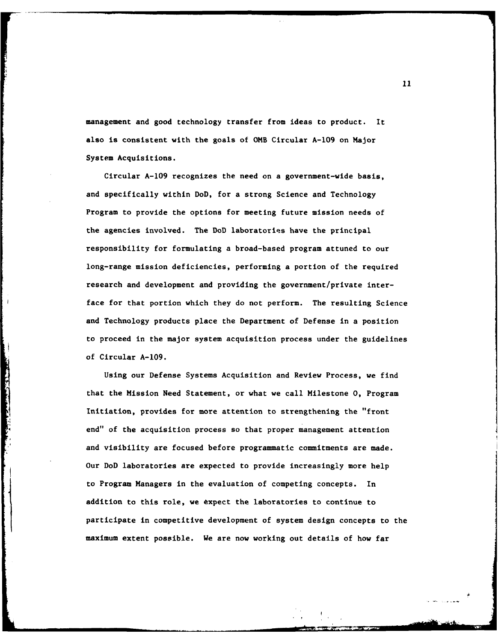management and good technology transfer from ideas to product. It also is consistent with the goals of 0MB Circular **A-109** on Major System Acquisitions.

Circular **A-109** recognizes the need on a government-wide basis, and specifically within DoD, for a strong Science and Technology Program to provide the options for meeting future mission needs of the agencies involved. The DoD laboratories have the principal responsibility for formulating a broad-based program attuned to our long-range mission deficiencies, performing a portion of the required research and development and providing the government/private interface for that portion which they do not perform. The resulting Science and Technology products place the Department of Defense in a position to proceed in the major system acquisition process under the guidelines of Circular **A-109.**

Using our Defense Systems Acquisition and Review Process, we find that the Mission Need Statement, or what we call Milestone 0, Program Initiation, provides for more attention to strengthening the "front end" of the acquisition process so that proper management attention and visibility are focused before programmatic commitments are made. Our DoD laboratories are expected to provide increasingly more help to Program Managers in the evaluation of competing concepts. In addition to this role, we txpect the laboratories to continue to participate in competitive development of system design concepts to the maximum extent possible. We are now working out details of how far

**Contract of the Company of Company's Company of the Company of Company's Company's Company's Company's Company**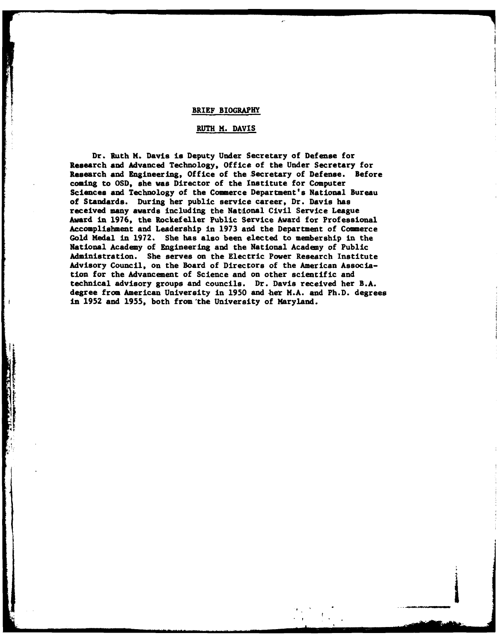### BRIEF BIOGRAPHY

# RUTH H. **DAVIS**

Dr. Ruth H. Davis is Deputy Under Secretary of Defense for Research and Advanced Technology, Office of the Under Secretary for Research and Engineering, Office of the Secretary of Defense. Before coming to **OSD,** she was Director of the Institute for Computer Sciences and Technology of the Commerce Department's National Bureau of Standards. During her public service career, Dr. Davis has received many awards including the National Civil Service League Award in **1976,** the Rockefeller Public Service Award for Professional Accomplishment and Leadership in **1973** and the Department of Commerce Gold Medal in **1972.** She has also been elected to membership in the National Academy of Engineering and the National Academy of Public Administration. She serves on the Electric Power Research Institute Advisory Council, on the Board of Directors of the American Association for the Advancement of Science and on other scientific and technical advisory groups and councils. Dr. Davis received her B.A. degree from American University in **1950** and her M.A. and Ph.D. degrees in **1952** and **1955,** both from'the University of Maryland.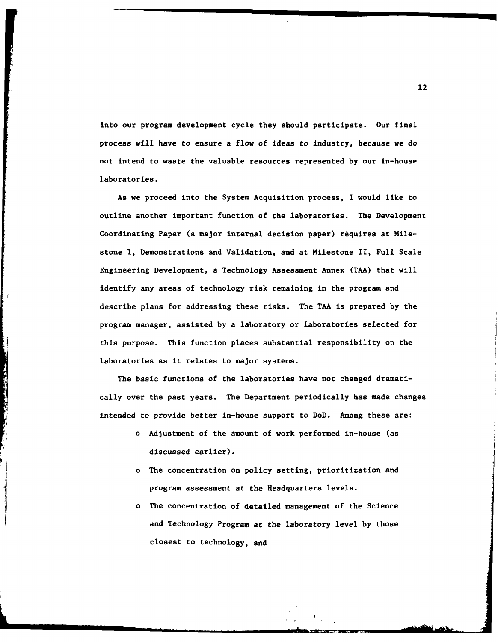into our program development cycle they should participate. Our final process will have to ensure a flow of ideas to Industry, because we do not intend to waste the valuable resources represented **by** our in-house laboratories.

As we proceed into the System Acquisition process, I would like to outline another important function of the laboratories. The Development Coordinating Paper (a major internal decision paper) requires at Milestone I, Demonstrations and Validation, and at Milestone II, Full Scale Engineering Development, a Technology Assessment Annex **(TMA)** that will identify any areas of technology risk remaining in the program and describe plans for addressing these risks. The **TMA** is prepared **by** the program manager, assisted **by** a laboratory or laboratories selected for this purpose. This function places substantial responsibility on the laboratories as it relates to major systems.

The basic functions of the laboratories have not changed dramatically over the past years. The Department periodically has made changes intended to provide better in-house support to DoD. Among these are:

and the state of the state of the state of the state of the state of the state of the state of the state of the

- o Adjustment of the amount of work performed in-house (as discussed earlier).
- o The concentration on policy setting, prioritization and program assessment at the Headquarters levels.
- o The concentration of detailed management of the Science and Technology Program at the laboratory level **by** those closest to technology, and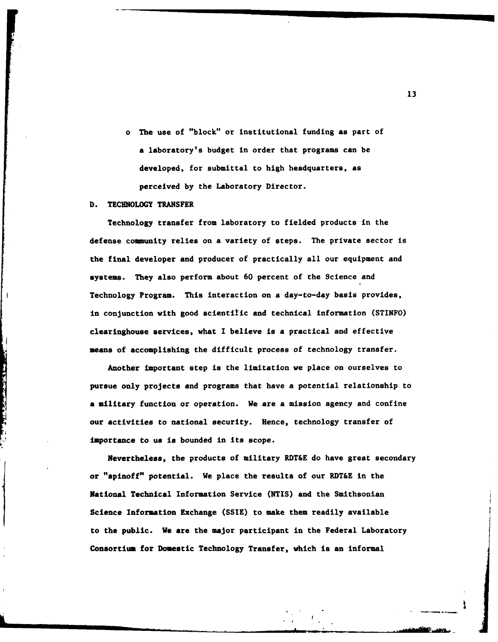o The use of "block" or institutional funding as part of alaboratory's budget in order that programs can be developed, for submittal to high headquarters, as perceived **by** the Laboratory Director.

## **D.** TECHNOLOGY TRANSFER

ķ

The Contract of Second Second Second Second Second Second Second Second Second Second Second Second Second Second Second Second Second Second Second Second Second Second Second Second Second Second Second Second Second Sec

Technology transfer from laboratory to fielded products in the defense community relies on a variety of steps. The private sector is the final developer and producer of practically all our equipment and systems. They also perform about **60** percent of the Science and Technology Program. This interaction on a day-to-day basis provides, in conjunction with good scientilic and technical information (STINFO) clearinghouse services, what I believe is a practical and effective means of accomplishing the difficult process of technology transfer.

Another important step is the limitation we place on ourselves to pursue only projects and programs that have a potential relationship to a military function or operation. We are a mission agency and confine our activities to national security. Hence, technology transfer of importance to us is bounded in its scope.

Nevertheless, the products of military RDT&E do have great secondary or "spinoff" potential. We place the results of our RDT&E in the National Technical Information Service (NTIS) and the Smithsonian Science Information Exchange (SSIE) to make them readily available to the public. We are the major participant in the Federal Laboratory Consortium for Domestic Technology Transfer, which is an informal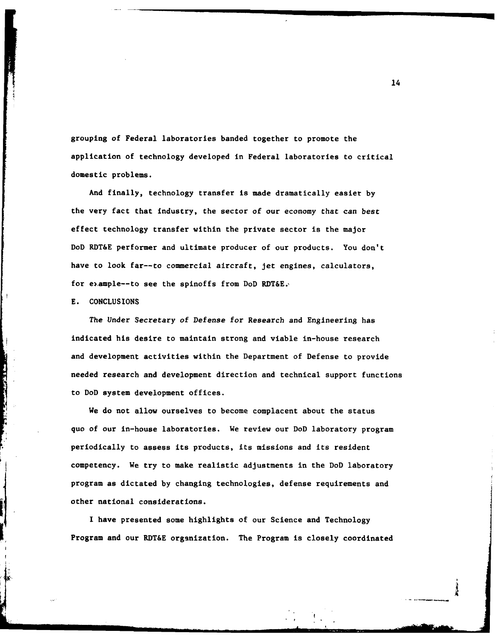grouping of Federal laboratories banded together to promote the application of technology developed in Federal laboratories to critical domestic problems.

And finally, technology transfer is made dramatically easier **by** the very fact that industry, the sector of our economy that can best effect technology transfer within the private sector is the major DoD RDT&E performer and ultimate producer of our products. You don't have to look far--to commercial aircraft, jet engines, calculators, for eample--to see the spinoffs from DoD RDT&E.'

### **E. CONCLUSIONS**

The Under Secretary of Defense for Research and Engineering has indicated his desire to maintain strong and viable in-house research and development activities within the Department of Defense to provide needed research and development direction and technical support functions to DoD system development offices.

We do not allow ourselves to become complacent about the status quo of our in-house laboratories. We review our DoD laboratory program periodically to assess its products, its missions and its resident competency. We try to make realistic adjustments in the DoD laboratory program as dictated by changing technologies, defense requirements and<br>other national considerations.

have presented some highlights of our Science and Technology Program and our RDT&E organization. The Program is closely coordinated